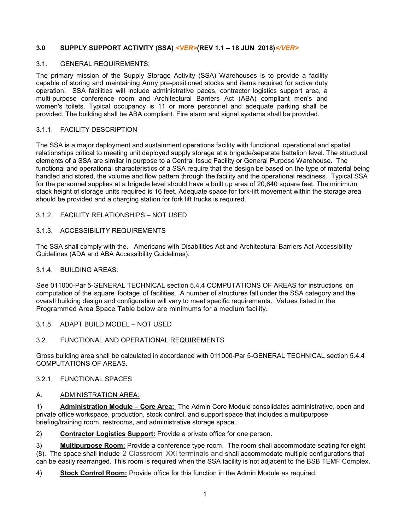#### **3.0 SUPPLY SUPPORT ACTIVITY (SSA)** *<VER>***(REV 1.1 – 18 JUN 2018)***</VER>*

#### 3.1. GENERAL REQUIREMENTS:

The primary mission of the Supply Storage Activity (SSA) Warehouses is to provide a facility capable of storing and maintaining Army pre-positioned stocks and items required for active duty operation. SSA facilities will include administrative paces, contractor logistics support area, a multi-purpose conference room and Architectural Barriers Act (ABA) compliant men's and women's toilets. Typical occupancy is 11 or more personnel and adequate parking shall be provided. The building shall be ABA compliant. Fire alarm and signal systems shall be provided.

#### 3.1.1. FACILITY DESCRIPTION

The SSA is a major deployment and sustainment operations facility with functional, operational and spatial relationships critical to meeting unit deployed supply storage at a brigade/separate battalion level. The structural elements of a SSA are similar in purpose to a Central Issue Facility or General Purpose Warehouse. The functional and operational characteristics of a SSA require that the design be based on the type of material being handled and stored, the volume and flow pattern through the facility and the operational readiness. Typical SSA for the personnel supplies at a brigade level should have a built up area of 20,640 square feet. The minimum stack height of storage units required is 16 feet. Adequate space for fork-lift movement within the storage area should be provided and a charging station for fork lift trucks is required.

### 3.1.2. FACILITY RELATIONSHIPS – NOT USED

#### 3.1.3. ACCESSIBILITY REQUIREMENTS

The SSA shall comply with the. Americans with Disabilities Act and Architectural Barriers Act Accessibility Guidelines (ADA and ABA Accessibility Guidelines).

#### 3.1.4. BUILDING AREAS:

See 011000-Par 5-GENERAL TECHNICAL section 5.4.4 COMPUTATIONS OF AREAS for instructions on computation of the square footage of facilities. A number of structures fall under the SSA category and the overall building design and configuration will vary to meet specific requirements. Values listed in the Programmed Area Space Table below are minimums for a medium facility.

3.1.5. ADAPT BUILD MODEL – NOT USED

#### 3.2. FUNCTIONAL AND OPERATIONAL REQUIREMENTS

Gross building area shall be calculated in accordance with 011000-Par 5-GENERAL TECHNICAL section 5.4.4 COMPUTATIONS OF AREAS.

### 3.2.1. FUNCTIONAL SPACES

#### A. ADMINISTRATION AREA:

1) **Administration Module – Core Area:** The Admin Core Module consolidates administrative, open and private office workspace, production, stock control, and support space that includes a multipurpose briefing/training room, restrooms, and administrative storage space.

2) **Contractor Logistics Support:** Provide a private office for one person.

3) **Multipurpose Room:** Provide a conference type room. The room shall accommodate seating for eight (8). The space shall include 2 Classroom XXI terminals and shall accommodate multiple configurations that can be easily rearranged. This room is required when the SSA facility is not adjacent to the BSB TEMF Complex.

4) **Stock Control Room:** Provide office for this function in the Admin Module as required.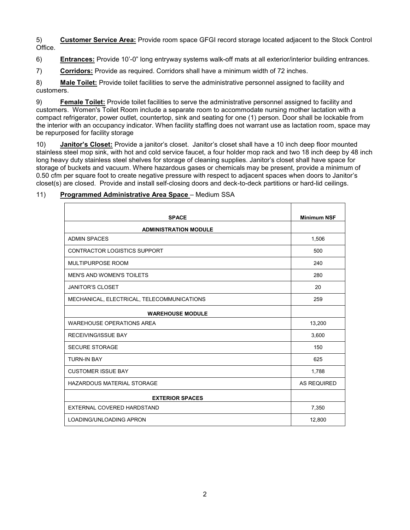5) **Customer Service Area:** Provide room space GFGI record storage located adjacent to the Stock Control Office.

6) **Entrances:** Provide 10'-0" long entryway systems walk-off mats at all exterior/interior building entrances.

7) **Corridors:** Provide as required. Corridors shall have a minimum width of 72 inches.

8) **Male Toilet:** Provide toilet facilities to serve the administrative personnel assigned to facility and customers.

9) **Female Toilet:** Provide toilet facilities to serve the administrative personnel assigned to facility and customers. Women's Toilet Room include a separate room to accommodate nursing mother lactation with a compact refrigerator, power outlet, countertop, sink and seating for one (1) person. Door shall be lockable from the interior with an occupancy indicator. When facility staffing does not warrant use as lactation room, space may be repurposed for facility storage

10) **Janitor's Closet:** Provide a janitor's closet. Janitor's closet shall have a 10 inch deep floor mounted stainless steel mop sink, with hot and cold service faucet, a four holder mop rack and two 18 inch deep by 48 inch long heavy duty stainless steel shelves for storage of cleaning supplies. Janitor's closet shall have space for storage of buckets and vacuum. Where hazardous gases or chemicals may be present, provide a minimum of 0.50 cfm per square foot to create negative pressure with respect to adjacent spaces when doors to Janitor's closet(s) are closed. Provide and install self-closing doors and deck-to-deck partitions or hard-lid ceilings.

# 11) **Programmed Administrative Area Space** – Medium SSA

| <b>SPACE</b>                               | <b>Minimum NSF</b> |
|--------------------------------------------|--------------------|
| <b>ADMINISTRATION MODULE</b>               |                    |
| <b>ADMIN SPACES</b>                        | 1,506              |
| CONTRACTOR LOGISTICS SUPPORT               | 500                |
| <b>MULTIPURPOSE ROOM</b>                   | 240                |
| <b>MEN'S AND WOMEN'S TOILETS</b>           | 280                |
| <b>JANITOR'S CLOSET</b>                    | 20                 |
| MECHANICAL, ELECTRICAL, TELECOMMUNICATIONS | 259                |
| <b>WAREHOUSE MODULE</b>                    |                    |
| <b>WAREHOUSE OPERATIONS AREA</b>           | 13,200             |
| <b>RECEIVING/ISSUE BAY</b>                 | 3,600              |
| <b>SECURE STORAGE</b>                      | 150                |
| <b>TURN-IN BAY</b>                         | 625                |
| <b>CUSTOMER ISSUE BAY</b>                  | 1,788              |
| <b>HAZARDOUS MATERIAL STORAGE</b>          | AS REQUIRED        |
| <b>EXTERIOR SPACES</b>                     |                    |
| EXTERNAL COVERED HARDSTAND                 | 7,350              |
| LOADING/UNLOADING APRON                    | 12,800             |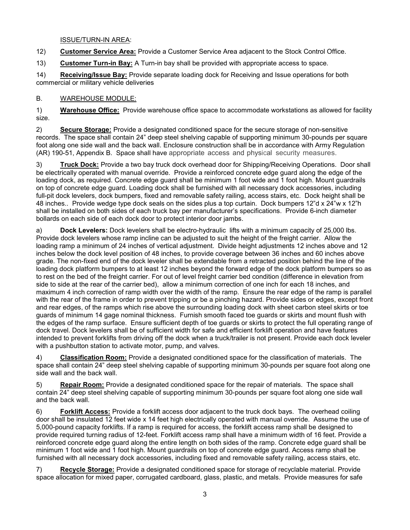ISSUE/TURN-IN AREA:

12) **Customer Service Area:** Provide a Customer Service Area adjacent to the Stock Control Office.

13) **Customer Turn-in Bay:** A Turn-in bay shall be provided with appropriate access to space.

14) **Receiving/Issue Bay:** Provide separate loading dock for Receiving and Issue operations for both commercial or military vehicle deliveries

#### B. WAREHOUSE MODULE:

1) **Warehouse Office:** Provide warehouse office space to accommodate workstations as allowed for facility size.

2) **Secure Storage:** Provide a designated conditioned space for the secure storage of non-sensitive records. The space shall contain 24" deep steel shelving capable of supporting minimum 30-pounds per square foot along one side wall and the back wall. Enclosure construction shall be in accordance with Army Regulation (AR) 190-51, Appendix B. Space shall have appropriate access and physical security measures.

3) **Truck Dock:** Provide a two bay truck dock overhead door for Shipping/Receiving Operations. Door shall be electrically operated with manual override. Provide a reinforced concrete edge guard along the edge of the loading dock, as required. Concrete edge guard shall be minimum 1 foot wide and 1 foot high. Mount guardrails on top of concrete edge guard. Loading dock shall be furnished with all necessary dock accessories, including full-pit dock levelers, dock bumpers, fixed and removable safety railing, access stairs, etc. Dock height shall be 48 inches.. Provide wedge type dock seals on the sides plus a top curtain. Dock bumpers 12"d x 24"w x 12"h shall be installed on both sides of each truck bay per manufacturer's specifications. Provide 6-inch diameter bollards on each side of each dock door to protect interior door jambs.

a) **Dock Levelers:** Dock levelers shall be electro-hydraulic lifts with a minimum capacity of 25,000 lbs. Provide dock levelers whose ramp incline can be adjusted to suit the height of the freight carrier. Allow the loading ramp a minimum of 24 inches of vertical adjustment. Divide height adjustments 12 inches above and 12 inches below the dock level position of 48 inches, to provide coverage between 36 inches and 60 inches above grade. The non-fixed end of the dock leveler shall be extendable from a retracted position behind the line of the loading dock platform bumpers to at least 12 inches beyond the forward edge of the dock platform bumpers so as to rest on the bed of the freight carrier. For out of level freight carrier bed condition (difference in elevation from side to side at the rear of the carrier bed), allow a minimum correction of one inch for each 18 inches, and maximum 4 inch correction of ramp width over the width of the ramp. Ensure the rear edge of the ramp is parallel with the rear of the frame in order to prevent tripping or be a pinching hazard. Provide sides or edges, except front and rear edges, of the ramps which rise above the surrounding loading dock with sheet carbon steel skirts or toe guards of minimum 14 gage nominal thickness. Furnish smooth faced toe guards or skirts and mount flush with the edges of the ramp surface. Ensure sufficient depth of toe guards or skirts to protect the full operating range of dock travel. Dock levelers shall be of sufficient width for safe and efficient forklift operation and have features intended to prevent forklifts from driving off the dock when a truck/trailer is not present. Provide each dock leveler with a pushbutton station to activate motor, pump, and valves.

4) **Classification Room:** Provide a designated conditioned space for the classification of materials. The space shall contain 24" deep steel shelving capable of supporting minimum 30-pounds per square foot along one side wall and the back wall.

5) **Repair Room:** Provide a designated conditioned space for the repair of materials. The space shall contain 24" deep steel shelving capable of supporting minimum 30-pounds per square foot along one side wall and the back wall.

6) **Forklift Access:** Provide a forklift access door adjacent to the truck dock bays. The overhead coiling door shall be insulated 12 feet wide x 14 feet high electrically operated with manual override. Assume the use of 5,000-pound capacity forklifts. If a ramp is required for access, the forklift access ramp shall be designed to provide required turning radius of 12-feet. Forklift access ramp shall have a minimum width of 16 feet. Provide a reinforced concrete edge guard along the entire length on both sides of the ramp. Concrete edge guard shall be minimum 1 foot wide and 1 foot high. Mount guardrails on top of concrete edge guard. Access ramp shall be furnished with all necessary dock accessories, including fixed and removable safety railing, access stairs, etc.

7) **Recycle Storage:** Provide a designated conditioned space for storage of recyclable material. Provide space allocation for mixed paper, corrugated cardboard, glass, plastic, and metals. Provide measures for safe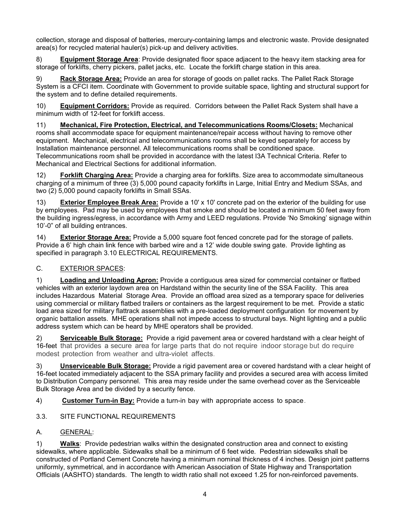collection, storage and disposal of batteries, mercury-containing lamps and electronic waste. Provide designated area(s) for recycled material hauler(s) pick-up and delivery activities.

8) **Equipment Storage Area**: Provide designated floor space adjacent to the heavy item stacking area for storage of forklifts, cherry pickers, pallet jacks, etc. Locate the forklift charge station in this area.

9) **Rack Storage Area:** Provide an area for storage of goods on pallet racks. The Pallet Rack Storage System is a CFCI item. Coordinate with Government to provide suitable space, lighting and structural support for the system and to define detailed requirements.

10) **Equipment Corridors:** Provide as required. Corridors between the Pallet Rack System shall have a minimum width of 12-feet for forklift access.

11) **Mechanical, Fire Protection, Electrical, and Telecommunications Rooms/Closets:** Mechanical rooms shall accommodate space for equipment maintenance/repair access without having to remove other equipment. Mechanical, electrical and telecommunications rooms shall be keyed separately for access by Installation maintenance personnel. All telecommunications rooms shall be conditioned space. Telecommunications room shall be provided in accordance with the latest I3A Technical Criteria. Refer to Mechanical and Electrical Sections for additional information.

12) **Forklift Charging Area:** Provide a charging area for forklifts. Size area to accommodate simultaneous charging of a minimum of three (3) 5,000 pound capacity forklifts in Large, Initial Entry and Medium SSAs, and two (2) 5,000 pound capacity forklifts in Small SSAs.

13) **Exterior Employee Break Area:** Provide a 10' x 10' concrete pad on the exterior of the building for use by employees. Pad may be used by employees that smoke and should be located a minimum 50 feet away from the building ingress/egress, in accordance with Army and LEED regulations. Provide 'No Smoking' signage within 10'-0" of all building entrances.

14) **Exterior Storage Area:** Provide a 5,000 square foot fenced concrete pad for the storage of pallets. Provide a 6' high chain link fence with barbed wire and a 12' wide double swing gate. Provide lighting as specified in paragraph 3.10 ELECTRICAL REQUIREMENTS.

### C. EXTERIOR SPACES:

1) **Loading and Unloading Apron:** Provide a contiguous area sized for commercial container or flatbed vehicles with an exterior laydown area on Hardstand within the security line of the SSA Facility. This area includes Hazardous Material Storage Area. Provide an offload area sized as a temporary space for deliveries using commercial or military flatbed trailers or containers as the largest requirement to be met. Provide a static load area sized for military flattrack assemblies with a pre-loaded deployment configuration for movement by organic battalion assets. MHE operations shall not impede access to structural bays. Night lighting and a public address system which can be heard by MHE operators shall be provided.

2) **Serviceable Bulk Storage:** Provide a rigid pavement area or covered hardstand with a clear height of 16-feet that provides a secure area for large parts that do not require indoor storage but do require modest protection from weather and ultra-violet affects.

3) **Unserviceable Bulk Storage:** Provide a rigid pavement area or covered hardstand with a clear height of 16-feet located immediately adjacent to the SSA primary facility and provides a secured area with access limited to Distribution Company personnel. This area may reside under the same overhead cover as the Serviceable Bulk Storage Area and be divided by a security fence.

4) **Customer Turn-in Bay:** Provide a turn-in bay with appropriate access to space.

### 3.3. SITE FUNCTIONAL REQUIREMENTS

### A. GENERAL:

1) **Walks**: Provide pedestrian walks within the designated construction area and connect to existing sidewalks, where applicable. Sidewalks shall be a minimum of 6 feet wide. Pedestrian sidewalks shall be constructed of Portland Cement Concrete having a minimum nominal thickness of 4 inches. Design joint patterns uniformly, symmetrical, and in accordance with American Association of State Highway and Transportation Officials (AASHTO) standards. The length to width ratio shall not exceed 1.25 for non-reinforced pavements.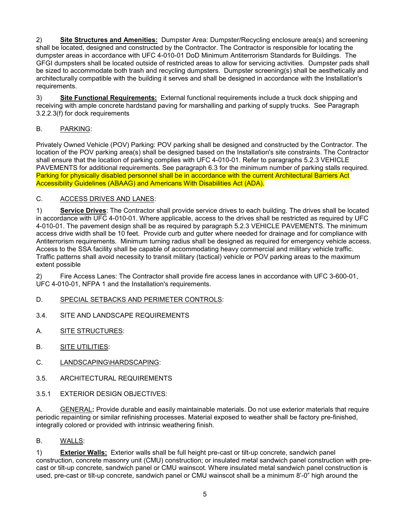2) **Site Structures and Amenities:** Dumpster Area: Dumpster/Recycling enclosure area(s) and screening shall be located, designed and constructed by the Contractor. The Contractor is responsible for locating the dumpster areas in accordance with UFC 4-010-01 DoD Minimum Antiterrorism Standards for Buildings. The GFGI dumpsters shall be located outside of restricted areas to allow for servicing activities. Dumpster pads shall be sized to accommodate both trash and recycling dumpsters. Dumpster screening(s) shall be aesthetically and architecturally compatible with the building it serves and shall be designed in accordance with the Installation's requirements.

3) **Site Functional Requirements:** External functional requirements include a truck dock shipping and receiving with ample concrete hardstand paving for marshalling and parking of supply trucks. See Paragraph 3.2.2.3(f) for dock requirements

## B. PARKING:

Privately Owned Vehicle (POV) Parking: POV parking shall be designed and constructed by the Contractor. The location of the POV parking area(s) shall be designed based on the Installation's site constraints. The Contractor shall ensure that the location of parking complies with UFC 4-010-01. Refer to paragraphs 5.2.3 VEHICLE PAVEMENTS for additional requirements. See paragraph 6.3 for the minimum number of parking stalls required. Parking for physically disabled personnel shall be in accordance with the current Architectural Barriers Act Accessibility Guidelines (ABAAG) and Americans With Disabilities Act (ADA).

# C. ACCESS DRIVES AND LANES:

1) **Service Drives**: The Contractor shall provide service drives to each building. The drives shall be located in accordance with UFC 4-010-01. Where applicable, access to the drives shall be restricted as required by UFC 4-010-01. The pavement design shall be as required by paragraph 5.2.3 VEHICLE PAVEMENTS. The minimum access drive width shall be 10 feet. Provide curb and gutter where needed for drainage and for compliance with Antiterrorism requirements. Minimum turning radius shall be designed as required for emergency vehicle access. Access to the SSA facility shall be capable of accommodating heavy commercial and military vehicle traffic. Traffic patterns shall avoid necessity to transit military (tactical) vehicle or POV parking areas to the maximum extent possible

2) Fire Access Lanes: The Contractor shall provide fire access lanes in accordance with UFC 3-600-01, UFC 4-010-01, NFPA 1 and the Installation's requirements.

- D. SPECIAL SETBACKS AND PERIMETER CONTROLS:
- 3.4. SITE AND LANDSCAPE REQUIREMENTS
- A. SITE STRUCTURES:
- B. SITE UTILITIES:
- C. LANDSCAPING\HARDSCAPING:
- 3.5. ARCHITECTURAL REQUIREMENTS
- 3.5.1 EXTERIOR DESIGN OBJECTIVES:

A. GENERAL**:** Provide durable and easily maintainable materials. Do not use exterior materials that require periodic repainting or similar refinishing processes. Material exposed to weather shall be factory pre-finished, integrally colored or provided with intrinsic weathering finish.

### B. WALLS:

1) **Exterior Walls:** Exterior walls shall be full height pre-cast or tilt-up concrete, sandwich panel construction, concrete masonry unit (CMU) construction; or insulated metal sandwich panel construction with precast or tilt-up concrete, sandwich panel or CMU wainscot. Where insulated metal sandwich panel construction is used, pre-cast or tilt-up concrete, sandwich panel or CMU wainscot shall be a minimum 8'-0" high around the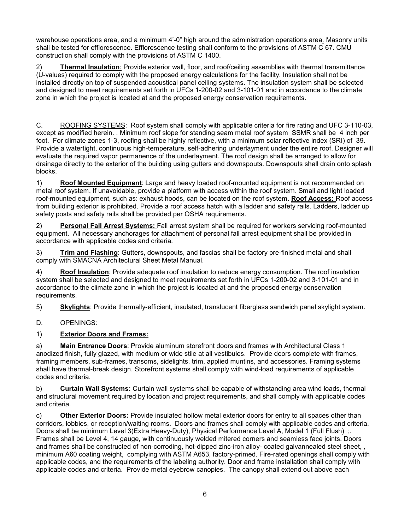warehouse operations area, and a minimum 4'-0" high around the administration operations area. Masonry units shall be tested for efflorescence. Efflorescence testing shall conform to the provisions of ASTM C 67. CMU construction shall comply with the provisions of ASTM C 1400.

2) **Thermal Insulation**: Provide exterior wall, floor, and roof/ceiling assemblies with thermal transmittance (U-values) required to comply with the proposed energy calculations for the facility. Insulation shall not be installed directly on top of suspended acoustical panel ceiling systems. The insulation system shall be selected and designed to meet requirements set forth in UFCs 1-200-02 and 3-101-01 and in accordance to the climate zone in which the project is located at and the proposed energy conservation requirements.

C. ROOFING SYSTEMS: Roof system shall comply with applicable criteria for fire rating and UFC 3-110-03, except as modified herein. . Minimum roof slope for standing seam metal roof system SSMR shall be 4 inch per foot. For climate zones 1-3, roofing shall be highly reflective, with a minimum solar reflective index (SRI) of 39. Provide a watertight, continuous high-temperature, self-adhering underlayment under the entire roof. Designer will evaluate the required vapor permanence of the underlayment. The roof design shall be arranged to allow for drainage directly to the exterior of the building using gutters and downspouts. Downspouts shall drain onto splash blocks.

1) **Roof Mounted Equipment**: Large and heavy loaded roof-mounted equipment is not recommended on metal roof system. If unavoidable, provide a platform with access within the roof system. Small and light loaded roof-mounted equipment, such as: exhaust hoods, can be located on the roof system. **Roof Access:** Roof access from building exterior is prohibited. Provide a roof access hatch with a ladder and safety rails. Ladders, ladder up safety posts and safety rails shall be provided per OSHA requirements.

2) **Personal Fall Arrest Systems:** Fall arrest system shall be required for workers servicing roof-mounted equipment. All necessary anchorages for attachment of personal fall arrest equipment shall be provided in accordance with applicable codes and criteria.

3) **Trim and Flashing**: Gutters, downspouts, and fascias shall be factory pre-finished metal and shall comply with SMACNA Architectural Sheet Metal Manual.

4) **Roof Insulation**: Provide adequate roof insulation to reduce energy consumption. The roof insulation system shall be selected and designed to meet requirements set forth in UFCs 1-200-02 and 3-101-01 and in accordance to the climate zone in which the project is located at and the proposed energy conservation requirements.

5) **Skylights**: Provide thermally-efficient, insulated, translucent fiberglass sandwich panel skylight system.

D. OPENINGS:

1) **Exterior Doors and Frames:**

a) **Main Entrance Doors**: Provide aluminum storefront doors and frames with Architectural Class 1 anodized finish, fully glazed, with medium or wide stile at all vestibules. Provide doors complete with frames, framing members, sub-frames, transoms, sidelights, trim, applied muntins, and accessories. Framing systems shall have thermal-break design. Storefront systems shall comply with wind-load requirements of applicable codes and criteria.

b) **Curtain Wall Systems:** Curtain wall systems shall be capable of withstanding area wind loads, thermal and structural movement required by location and project requirements, and shall comply with applicable codes and criteria.

c) **Other Exterior Doors:** Provide insulated hollow metal exterior doors for entry to all spaces other than corridors, lobbies, or reception/waiting rooms. Doors and frames shall comply with applicable codes and criteria. Doors shall be minimum Level 3(Extra Heavy-Duty), Physical Performance Level A, Model 1 (Full Flush) ;. Frames shall be Level 4, 14 gauge, with continuously welded mitered corners and seamless face joints. Doors and frames shall be constructed of non-corroding, hot-dipped zinc-iron alloy- coated galvannealed steel sheet, , minimum A60 coating weight, complying with ASTM A653, factory-primed. Fire-rated openings shall comply with applicable codes, and the requirements of the labeling authority. Door and frame installation shall comply with applicable codes and criteria. Provide metal eyebrow canopies. The canopy shall extend out above each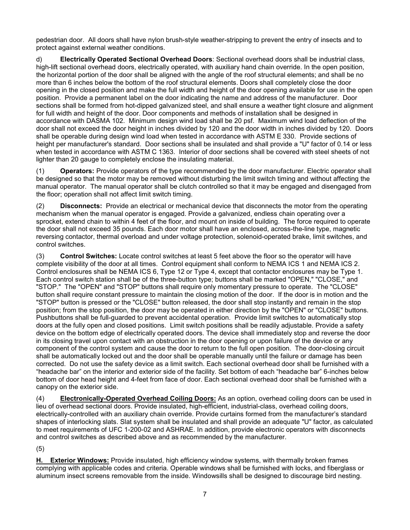pedestrian door. All doors shall have nylon brush-style weather-stripping to prevent the entry of insects and to protect against external weather conditions.

d) **Electrically Operated Sectional Overhead Doors**: Sectional overhead doors shall be industrial class, high-lift sectional overhead doors, electrically operated, with auxiliary hand chain override. In the open position, the horizontal portion of the door shall be aligned with the angle of the roof structural elements; and shall be no more than 6 inches below the bottom of the roof structural elements. Doors shall completely close the door opening in the closed position and make the full width and height of the door opening available for use in the open position. Provide a permanent label on the door indicating the name and address of the manufacturer. Door sections shall be formed from hot-dipped galvanized steel, and shall ensure a weather tight closure and alignment for full width and height of the door. Door components and methods of installation shall be designed in accordance with DASMA 102. Minimum design wind load shall be 20 psf. Maximum wind load deflection of the door shall not exceed the door height in inches divided by 120 and the door width in inches divided by 120. Doors shall be operable during design wind load when tested in accordance with ASTM E 330. Provide sections of height per manufacturer's standard. Door sections shall be insulated and shall provide a "U" factor of 0.14 or less when tested in accordance with ASTM C 1363. Interior of door sections shall be covered with steel sheets of not lighter than 20 gauge to completely enclose the insulating material.

(1) **Operators:** Provide operators of the type recommended by the door manufacturer. Electric operator shall be designed so that the motor may be removed without disturbing the limit switch timing and without affecting the manual operator. The manual operator shall be clutch controlled so that it may be engaged and disengaged from the floor; operation shall not affect limit switch timing.

(2) **Disconnects:** Provide an electrical or mechanical device that disconnects the motor from the operating mechanism when the manual operator is engaged. Provide a galvanized, endless chain operating over a sprocket, extend chain to within 4 feet of the floor, and mount on inside of building. The force required to operate the door shall not exceed 35 pounds. Each door motor shall have an enclosed, across-the-line type, magnetic reversing contactor, thermal overload and under voltage protection, solenoid-operated brake, limit switches, and control switches.

(3) **Control Switches:** Locate control switches at least 5 feet above the floor so the operator will have complete visibility of the door at all times. Control equipment shall conform to NEMA ICS 1 and NEMA ICS 2. Control enclosures shall be NEMA ICS 6, Type 12 or Type 4, except that contactor enclosures may be Type 1. Each control switch station shall be of the three-button type; buttons shall be marked "OPEN," "CLOSE," and "STOP." The "OPEN" and "STOP" buttons shall require only momentary pressure to operate. The "CLOSE" button shall require constant pressure to maintain the closing motion of the door. If the door is in motion and the "STOP" button is pressed or the "CLOSE" button released, the door shall stop instantly and remain in the stop position; from the stop position, the door may be operated in either direction by the "OPEN" or "CLOSE" buttons. Pushbuttons shall be full-guarded to prevent accidental operation. Provide limit switches to automatically stop doors at the fully open and closed positions. Limit switch positions shall be readily adjustable. Provide a safety device on the bottom edge of electrically operated doors. The device shall immediately stop and reverse the door in its closing travel upon contact with an obstruction in the door opening or upon failure of the device or any component of the control system and cause the door to return to the full open position. The door-closing circuit shall be automatically locked out and the door shall be operable manually until the failure or damage has been corrected. Do not use the safety device as a limit switch. Each sectional overhead door shall be furnished with a "headache bar" on the interior and exterior side of the facility. Set bottom of each "headache bar" 6-inches below bottom of door head height and 4-feet from face of door. Each sectional overhead door shall be furnished with a canopy on the exterior side.

(4) **Electronically-Operated Overhead Coiling Doors:** As an option, overhead coiling doors can be used in lieu of overhead sectional doors. Provide insulated, high-efficient, industrial-class, overhead coiling doors, electrically-controlled with an auxiliary chain override. Provide curtains formed from the manufacturer's standard shapes of interlocking slats. Slat system shall be insulated and shall provide an adequate "U" factor, as calculated to meet requirements of UFC 1-200-02 and ASHRAE. In addition, provide electronic operators with disconnects and control switches as described above and as recommended by the manufacturer.

(5)

**H. Exterior Windows:** Provide insulated, high efficiency window systems, with thermally broken frames complying with applicable codes and criteria. Operable windows shall be furnished with locks, and fiberglass or aluminum insect screens removable from the inside. Windowsills shall be designed to discourage bird nesting.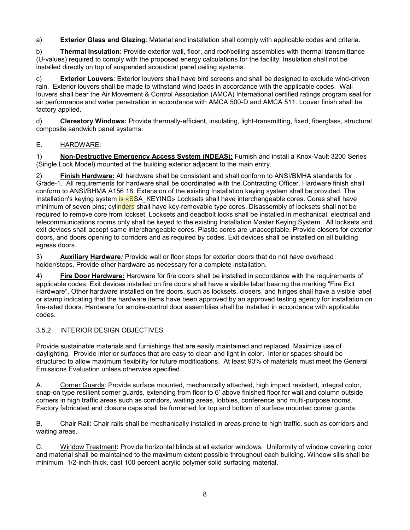a) **Exterior Glass and Glazing**: Material and installation shall comply with applicable codes and criteria.

b) **Thermal Insulation**: Provide exterior wall, floor, and roof/ceiling assemblies with thermal transmittance (U-values) required to comply with the proposed energy calculations for the facility. Insulation shall not be installed directly on top of suspended acoustical panel ceiling systems.

c) **Exterior Louvers**: Exterior louvers shall have bird screens and shall be designed to exclude wind-driven rain. Exterior louvers shall be made to withstand wind loads in accordance with the applicable codes. Wall louvers shall bear the Air Movement & Control Association (AMCA) International certified ratings program seal for air performance and water penetration in accordance with AMCA 500-D and AMCA 511. Louver finish shall be factory applied.

d) **Clerestory Windows:** Provide thermally-efficient, insulating, light-transmitting, fixed, fiberglass, structural composite sandwich panel systems.

### E. HARDWARE:

1) **Non-Destructive Emergency Access System (NDEAS):** Furnish and install a Knox-Vault 3200 Series (Single Lock Model) mounted at the building exterior adjacent to the main entry.

2) **Finish Hardware:** All hardware shall be consistent and shall conform to ANSI/BMHA standards for Grade-1. All requirements for hardware shall be coordinated with the Contracting Officer. Hardware finish shall conform to ANSI/BHMA A156 18. Extension of the existing Installation keying system shall be provided. The Installation's keying system is «SSA\_KEYING» Locksets shall have interchangeable cores. Cores shall have minimum of seven pins; cylinders shall have key-removable type cores. Disassembly of locksets shall not be required to remove core from lockset. Locksets and deadbolt locks shall be installed in mechanical, electrical and telecommunications rooms only shall be keyed to the existing Installation Master Keying System.. All locksets and exit devices shall accept same interchangeable cores. Plastic cores are unacceptable. Provide closers for exterior doors, and doors opening to corridors and as required by codes. Exit devices shall be installed on all building egress doors.

3) **Auxiliary Hardware***:* Provide wall or floor stops for exterior doors that do not have overhead holder/stops. Provide other hardware as necessary for a complete installation.

4) **Fire Door Hardware:** Hardware for fire doors shall be installed in accordance with the requirements of applicable codes. Exit devices installed on fire doors shall have a visible label bearing the marking "Fire Exit Hardware". Other hardware installed on fire doors, such as locksets, closers, and hinges shall have a visible label or stamp indicating that the hardware items have been approved by an approved testing agency for installation on fire-rated doors. Hardware for smoke-control door assemblies shall be installed in accordance with applicable codes.

### 3.5.2 INTERIOR DESIGN OBJECTIVES

Provide sustainable materials and furnishings that are easily maintained and replaced. Maximize use of daylighting. Provide interior surfaces that are easy to clean and light in color. Interior spaces should be structured to allow maximum flexibility for future modifications. At least 90% of materials must meet the General Emissions Evaluation unless otherwise specified.

A. Corner Guards: Provide surface mounted, mechanically attached, high impact resistant, integral color, snap-on type resilient corner guards, extending from floor to 6' above finished floor for wall and column outside corners in high traffic areas such as corridors, waiting areas, lobbies, conference and multi-purpose rooms. Factory fabricated end closure caps shall be furnished for top and bottom of surface mounted corner guards.

B. Chair Rail: Chair rails shall be mechanically installed in areas prone to high traffic, such as corridors and waiting areas.

C. Window Treatment**:** Provide horizontal blinds at all exterior windows. Uniformity of window covering color and material shall be maintained to the maximum extent possible throughout each building. Window sills shall be minimum 1/2-inch thick, cast 100 percent acrylic polymer solid surfacing material.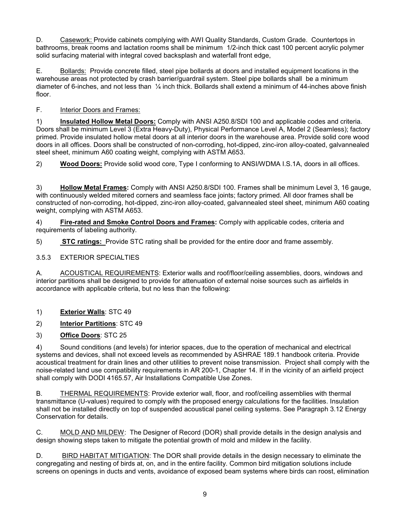D. Casework: Provide cabinets complying with AWI Quality Standards, Custom Grade. Countertops in bathrooms, break rooms and lactation rooms shall be minimum 1/2-inch thick cast 100 percent acrylic polymer solid surfacing material with integral coved backsplash and waterfall front edge,

E. Bollards: Provide concrete filled, steel pipe bollards at doors and installed equipment locations in the warehouse areas not protected by crash barrier/guardrail system. Steel pipe bollards shall be a minimum diameter of 6-inches, and not less than ¼ inch thick. Bollards shall extend a minimum of 44-inches above finish floor.

### F. Interior Doors and Frames:

1) **Insulated Hollow Metal Doors:** Comply with ANSI A250.8/SDI 100 and applicable codes and criteria. Doors shall be minimum Level 3 (Extra Heavy-Duty), Physical Performance Level A, Model 2 (Seamless); factory primed. Provide insulated hollow metal doors at all interior doors in the warehouse area. Provide solid core wood doors in all offices. Doors shall be constructed of non-corroding, hot-dipped, zinc-iron alloy-coated, galvannealed steel sheet, minimum A60 coating weight, complying with ASTM A653.

2) **Wood Doors:** Provide solid wood core, Type I conforming to ANSI/WDMA I.S.1A, doors in all offices.

3) **Hollow Metal Frames:** Comply with ANSI A250.8/SDI 100. Frames shall be minimum Level 3, 16 gauge, with continuously welded mitered corners and seamless face joints; factory primed. All door frames shall be constructed of non-corroding, hot-dipped, zinc-iron alloy-coated, galvannealed steel sheet, minimum A60 coating weight, complying with ASTM A653.

4) **Fire-rated and Smoke Control Doors and Frames:** Comply with applicable codes, criteria and requirements of labeling authority.

5) **STC ratings:** Provide STC rating shall be provided for the entire door and frame assembly.

# 3.5.3 EXTERIOR SPECIALTIES

A. ACOUSTICAL REQUIREMENTS: Exterior walls and roof/floor/ceiling assemblies, doors, windows and interior partitions shall be designed to provide for attenuation of external noise sources such as airfields in accordance with applicable criteria, but no less than the following:

1) **Exterior Walls**: STC 49

2) **Interior Partitions**: STC 49

3) **Office Doors**: STC 25

4) Sound conditions (and levels) for interior spaces, due to the operation of mechanical and electrical systems and devices, shall not exceed levels as recommended by ASHRAE 189.1 handbook criteria. Provide acoustical treatment for drain lines and other utilities to prevent noise transmission. Project shall comply with the noise-related land use compatibility requirements in AR 200-1, Chapter 14. If in the vicinity of an airfield project shall comply with DODI 4165.57, Air Installations Compatible Use Zones.

B. THERMAL REQUIREMENTS: Provide exterior wall, floor, and roof/ceiling assemblies with thermal transmittance (U-values) required to comply with the proposed energy calculations for the facilities. Insulation shall not be installed directly on top of suspended acoustical panel ceiling systems. See Paragraph 3.12 Energy Conservation for details.

C. MOLD AND MILDEW: The Designer of Record (DOR) shall provide details in the design analysis and design showing steps taken to mitigate the potential growth of mold and mildew in the facility.

D. BIRD HABITAT MITIGATION: The DOR shall provide details in the design necessary to eliminate the congregating and nesting of birds at, on, and in the entire facility. Common bird mitigation solutions include screens on openings in ducts and vents, avoidance of exposed beam systems where birds can roost, elimination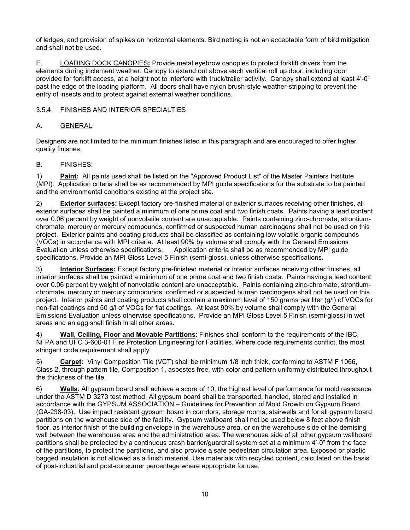of ledges, and provision of spikes on horizontal elements. Bird netting is not an acceptable form of bird mitigation and shall not be used.

E. LOADING DOCK CANOPIES**:** Provide metal eyebrow canopies to protect forklift drivers from the elements during inclement weather. Canopy to extend out above each vertical roll up door, including door provided for forklift access, at a height not to interfere with truck/trailer activity. Canopy shall extend at least 4'-0" past the edge of the loading platform. All doors shall have nylon brush-style weather-stripping to prevent the entry of insects and to protect against external weather conditions.

#### 3.5.4. FINISHES AND INTERIOR SPECIALTIES

#### A. GENERAL:

Designers are not limited to the minimum finishes listed in this paragraph and are encouraged to offer higher quality finishes.

#### B. FINISHES:

1) **Paint:** All paints used shall be listed on the "Approved Product List" of the Master Painters Institute (MPI). Application criteria shall be as recommended by MPI guide specifications for the substrate to be painted and the environmental conditions existing at the project site.

2) **Exterior surfaces:** Except factory pre-finished material or exterior surfaces receiving other finishes, all exterior surfaces shall be painted a minimum of one prime coat and two finish coats. Paints having a lead content over 0.06 percent by weight of nonvolatile content are unacceptable. Paints containing zinc-chromate, strontiumchromate, mercury or mercury compounds, confirmed or suspected human carcinogens shall not be used on this project. Exterior paints and coating products shall be classified as containing low volatile organic compounds (VOCs) in accordance with MPI criteria. At least 90% by volume shall comply with the General Emissions<br>Evaluation unless otherwise specifications. Application criteria shall be as recommended by MPI guide Application criteria shall be as recommended by MPI guide specifications. Provide an MPI Gloss Level 5 Finish (semi-gloss), unless otherwise specifications.

3) **Interior Surfaces:** Except factory pre-finished material or interior surfaces receiving other finishes, all interior surfaces shall be painted a minimum of one prime coat and two finish coats. Paints having a lead content over 0.06 percent by weight of nonvolatile content are unacceptable. Paints containing zinc-chromate, strontiumchromate, mercury or mercury compounds, confirmed or suspected human carcinogens shall not be used on this project. Interior paints and coating products shall contain a maximum level of 150 grams per liter (g/l) of VOCs for non-flat coatings and 50 g/l of VOCs for flat coatings. At least 90% by volume shall comply with the General Emissions Evaluation unless otherwise specifications. Provide an MPI Gloss Level 5 Finish (semi-gloss) in wet areas and an egg shell finish in all other areas.

4) **Wall, Ceiling, Floor and Movable Partitions**: Finishes shall conform to the requirements of the IBC, NFPA and UFC 3-600-01 Fire Protection Engineering for Facilities. Where code requirements conflict, the most stringent code requirement shall apply.

5) **Carpet:** Vinyl Composition Tile (VCT) shall be minimum 1/8 inch thick, conforming to ASTM F 1066, Class 2, through pattern tile, Composition 1, asbestos free, with color and pattern uniformly distributed throughout the thickness of the tile.

6) **Walls**: All gypsum board shall achieve a score of 10, the highest level of performance for mold resistance under the ASTM D 3273 test method. All gypsum board shall be transported, handled, stored and installed in accordance with the GYPSUM ASSOCIATION – Guidelines for Prevention of Mold Growth on Gypsum Board (GA-238-03). Use impact resistant gypsum board in corridors, storage rooms, stairwells and for all gypsum board partitions on the warehouse side of the facility. Gypsum wallboard shall not be used below 8 feet above finish floor, as interior finish of the building envelope in the warehouse area, or on the warehouse side of the demising wall between the warehouse area and the administration area. The warehouse side of all other gypsum wallboard partitions shall be protected by a continuous crash barrier/guardrail system set at a minimum 4'-0" from the face of the partitions, to protect the partitions, and also provide a safe pedestrian circulation area. Exposed or plastic bagged insulation is not allowed as a finish material. Use materials with recycled content, calculated on the basis of post-industrial and post-consumer percentage where appropriate for use.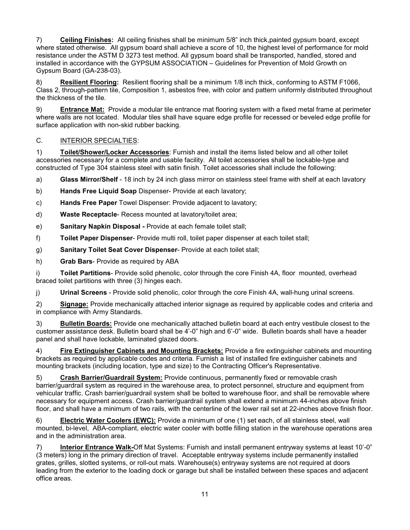7) **Ceiling Finishes:** All ceiling finishes shall be minimum 5/8" inch thick,painted gypsum board, except where stated otherwise. All gypsum board shall achieve a score of 10, the highest level of performance for mold resistance under the ASTM D 3273 test method. All gypsum board shall be transported, handled, stored and installed in accordance with the GYPSUM ASSOCIATION – Guidelines for Prevention of Mold Growth on Gypsum Board (GA-238-03).

8) **Resilient Flooring:** Resilient flooring shall be a minimum 1/8 inch thick, conforming to ASTM F1066, Class 2, through-pattern tile, Composition 1, asbestos free, with color and pattern uniformly distributed throughout the thickness of the tile.

9) **Entrance Mat:** Provide a modular tile entrance mat flooring system with a fixed metal frame at perimeter where walls are not located. Modular tiles shall have square edge profile for recessed or beveled edge profile for surface application with non-skid rubber backing.

### C. INTERIOR SPECIALTIES:

1) **Toilet/Shower/Locker Accessories**: Furnish and install the items listed below and all other toilet accessories necessary for a complete and usable facility. All toilet accessories shall be lockable-type and constructed of Type 304 stainless steel with satin finish. Toilet accessories shall include the following:

- a) **Glass Mirror/Shelf** 18 inch by 24 inch glass mirror on stainless steel frame with shelf at each lavatory
- b) **Hands Free Liquid Soap** Dispenser- Provide at each lavatory;
- c) **Hands Free Paper** Towel Dispenser: Provide adjacent to lavatory;
- d) **Waste Receptacle** Recess mounted at lavatory/toilet area;
- e) **Sanitary Napkin Disposal -** Provide at each female toilet stall;
- f) **Toilet Paper Dispenser** Provide multi roll, toilet paper dispenser at each toilet stall;
- g) **Sanitary Toilet Seat Cover Dispenser** Provide at each toilet stall;
- h) **Grab Bars** Provide as required by ABA

i) **Toilet Partitions**- Provide solid phenolic, color through the core Finish 4A, floor mounted, overhead braced toilet partitions with three (3) hinges each.

j) **Urinal Screens** - Provide solid phenolic, color through the core Finish 4A, wall-hung urinal screens.

2) **Signage:** Provide mechanically attached interior signage as required by applicable codes and criteria and in compliance with Army Standards.

3) **Bulletin Boards:** Provide one mechanically attached bulletin board at each entry vestibule closest to the customer assistance desk. Bulletin board shall be 4'-0" high and 6'-0" wide. Bulletin boards shall have a header panel and shall have lockable, laminated glazed doors.

4) **Fire Extinguisher Cabinets and Mounting Brackets:** Provide a fire extinguisher cabinets and mounting brackets as required by applicable codes and criteria. Furnish a list of installed fire extinguisher cabinets and mounting brackets (including location, type and size) to the Contracting Officer's Representative.

5) **Crash Barrier/Guardrail System:** Provide continuous, permanently fixed or removable crash barrier/guardrail system as required in the warehouse area, to protect personnel, structure and equipment from vehicular traffic. Crash barrier/guardrail system shall be bolted to warehouse floor, and shall be removable where necessary for equipment access. Crash barrier/guardrail system shall extend a minimum 44-inches above finish floor, and shall have a minimum of two rails, with the centerline of the lower rail set at 22-inches above finish floor.

6) **Electric Water Coolers (EWC):** Provide a minimum of one (1) set each, of all stainless steel, wall mounted, bi-level, ABA-compliant, electric water cooler with bottle filling station in the warehouse operations area and in the administration area.

7) **Interior Entrance Walk-**Off Mat Systems: Furnish and install permanent entryway systems at least 10'-0" (3 meters) long in the primary direction of travel. Acceptable entryway systems include permanently installed grates, grilles, slotted systems, or roll-out mats. Warehouse(s) entryway systems are not required at doors leading from the exterior to the loading dock or garage but shall be installed between these spaces and adjacent office areas.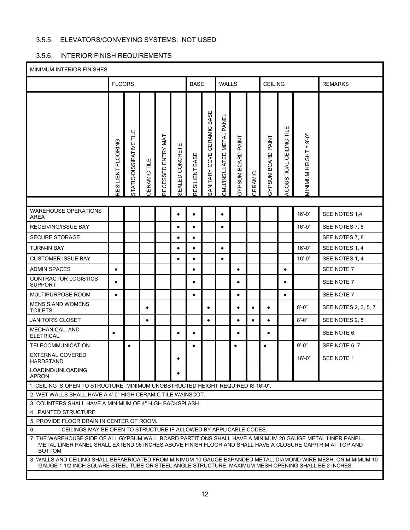# 3.5.5. ELEVATORS/CONVEYING SYSTEMS: NOT USED

# 3.5.6. INTERIOR FINISH REQUIREMENTS

| <b>MINIMUM INTERIOR FINISHES</b>                                                                                                                                                                                                                                                                             |                              |                         |              |                       |                 |                |                               |                              |                              |           |                              |                            |                                           |                      |
|--------------------------------------------------------------------------------------------------------------------------------------------------------------------------------------------------------------------------------------------------------------------------------------------------------------|------------------------------|-------------------------|--------------|-----------------------|-----------------|----------------|-------------------------------|------------------------------|------------------------------|-----------|------------------------------|----------------------------|-------------------------------------------|----------------------|
|                                                                                                                                                                                                                                                                                                              | <b>FLOORS</b>                |                         |              |                       |                 | <b>BASE</b>    |                               | <b>WALLS</b>                 |                              |           | <b>CEILING</b>               |                            |                                           | <b>REMARKS</b>       |
|                                                                                                                                                                                                                                                                                                              | <b>FLOORING</b><br>RESILIENT | STATIC-DISSIPATIVE TILE | CERAMIC TILE | ENTRY MAT<br>RECESSED | SEALED CONCRETE | RESILIENT BASE | COVE CERAMIC BASE<br>SANITARY | PANEL<br>CMU/INSULATED METAL | <b>PAINT</b><br>GYPSUM BOARD | CERAMIC   | <b>PAINT</b><br>GYPSUM BOARD | CEILING TILE<br>ACOUSTICAL | $9 - 0$<br>$\mathbf{H}$<br>MINIMUM HEIGHT |                      |
|                                                                                                                                                                                                                                                                                                              |                              |                         |              |                       |                 |                |                               |                              |                              |           |                              |                            |                                           |                      |
| <b>WAREHOUSE OPERATIONS</b><br><b>AREA</b>                                                                                                                                                                                                                                                                   |                              |                         |              |                       | $\bullet$       | $\bullet$      |                               | $\bullet$                    |                              |           |                              |                            | $16' - 0'$                                | SEE NOTES 1,4        |
| <b>RECEIVING/ISSUE BAY</b>                                                                                                                                                                                                                                                                                   |                              |                         |              |                       | $\bullet$       | $\bullet$      |                               | $\bullet$                    |                              |           |                              |                            | $16' - 0''$                               | SEE NOTES 7, 8       |
| <b>SECURE STORAGE</b>                                                                                                                                                                                                                                                                                        |                              |                         |              |                       | $\bullet$       | $\bullet$      |                               |                              |                              |           |                              |                            |                                           | SEE NOTES 7, 8       |
| <b>TURN-IN BAY</b>                                                                                                                                                                                                                                                                                           |                              |                         |              |                       | $\bullet$       | $\bullet$      |                               | $\bullet$                    |                              |           |                              |                            | $16' - 0''$                               | SEE NOTES 1, 4       |
| <b>CUSTOMER ISSUE BAY</b>                                                                                                                                                                                                                                                                                    |                              |                         |              |                       | $\bullet$       | $\bullet$      |                               | $\bullet$                    |                              |           |                              |                            | $16' - 0''$                               | SEE NOTES 1.4        |
| <b>ADMIN SPACES</b>                                                                                                                                                                                                                                                                                          | $\bullet$                    |                         |              |                       |                 | $\bullet$      |                               |                              | $\bullet$                    |           |                              | $\bullet$                  |                                           | SEE NOTE 7           |
| <b>CONTRACTOR LOGISTICS</b><br><b>SUPPORT</b>                                                                                                                                                                                                                                                                | ٠                            |                         |              |                       |                 | ٠              |                               |                              | $\bullet$                    |           |                              | ٠                          |                                           | SEE NOTE 7           |
| MULTIPURPOSE ROOM                                                                                                                                                                                                                                                                                            | $\bullet$                    |                         |              |                       |                 | $\bullet$      |                               |                              | $\bullet$                    |           |                              | $\bullet$                  |                                           | SEE NOTE 7           |
| <b>MENS'S AND WOMENS</b><br><b>TOILETS</b>                                                                                                                                                                                                                                                                   |                              |                         | $\bullet$    |                       |                 |                | $\bullet$                     |                              | $\bullet$                    | $\bullet$ | $\bullet$                    |                            | $8' - 0''$                                | SEE NOTES 2, 3, 5, 7 |
| <b>JANITOR'S CLOSET</b>                                                                                                                                                                                                                                                                                      |                              |                         | $\bullet$    |                       |                 |                | $\bullet$                     |                              | $\bullet$                    | $\bullet$ | $\bullet$                    |                            | $8' - 0''$                                | SEE NOTES 2, 5       |
| MECHANICAL, AND<br>ELETRICAL,                                                                                                                                                                                                                                                                                | $\bullet$                    |                         |              |                       | $\bullet$       | $\bullet$      |                               |                              | $\bullet$                    |           | $\bullet$                    |                            |                                           | SEE NOTE 6.          |
| <b>TELECOMMUNICATION</b>                                                                                                                                                                                                                                                                                     |                              | $\bullet$               |              |                       |                 | $\bullet$      |                               |                              | $\bullet$                    |           | $\bullet$                    |                            | $9' - 0''$                                | SEE NOTE 6.7         |
| <b>EXTERNAL COVERED</b><br><b>HARDSTAND</b>                                                                                                                                                                                                                                                                  |                              |                         |              |                       | ٠               |                |                               |                              |                              |           |                              |                            | $16' - 0''$                               | SEE NOTE 1           |
| LOADIND/UNLOADING<br><b>APRON</b>                                                                                                                                                                                                                                                                            |                              |                         |              |                       |                 |                |                               |                              |                              |           |                              |                            |                                           |                      |
| 1. CEILING IS OPEN TO STRUCTURE, MINIMUM UNOBSTRUCTED HEIGHT REQUIRED IS 16'-0".                                                                                                                                                                                                                             |                              |                         |              |                       |                 |                |                               |                              |                              |           |                              |                            |                                           |                      |
| 2. WET WALLS SHALL HAVE A 4'-0" HIGH CERAMIC TILE WAINSCOT.                                                                                                                                                                                                                                                  |                              |                         |              |                       |                 |                |                               |                              |                              |           |                              |                            |                                           |                      |
| 3. COUNTERS SHALL HAVE A MINIMUM OF 4" HIGH BACKSPLASH.                                                                                                                                                                                                                                                      |                              |                         |              |                       |                 |                |                               |                              |                              |           |                              |                            |                                           |                      |
| 4. PAINTED STRUCTURE                                                                                                                                                                                                                                                                                         |                              |                         |              |                       |                 |                |                               |                              |                              |           |                              |                            |                                           |                      |
| 5. PROVIDE FLOOR DRAIN IN CENTER OF ROOM.                                                                                                                                                                                                                                                                    |                              |                         |              |                       |                 |                |                               |                              |                              |           |                              |                            |                                           |                      |
| CEILINGS MAY BE OPEN TO STRUCTURE IF ALLOWED BY APPLICABLE CODES.<br>6.<br>7. THE WAREHOUSE SIDE OF ALL GYPSUM WALL BOARD PARTITIONS SHALL HAVE A MINIMUM 20 GAUGE METAL LINER PANEL.<br>METAL LINER PANEL SHALL EXTEND 96 INCHES ABOVE FINISH FLOOR AND SHALL HAVE A CLOSURE CAP/TRIM AT TOP AND<br>BOTTOM. |                              |                         |              |                       |                 |                |                               |                              |                              |           |                              |                            |                                           |                      |
| 8. WALLS AND CEILING SHALL BEFABRICATED FROM MINIMUM 10 GAUGE EXPANDED METAL, DIAMOND WIRE MESH, ON MIMIMUM 10<br>GAUGE 1 1/2 INCH SQUARE STEEL TUBE OR STEEL ANGLE STRUCTURE. MAXIMUM MESH OPENING SHALL BE 2 INCHES.                                                                                       |                              |                         |              |                       |                 |                |                               |                              |                              |           |                              |                            |                                           |                      |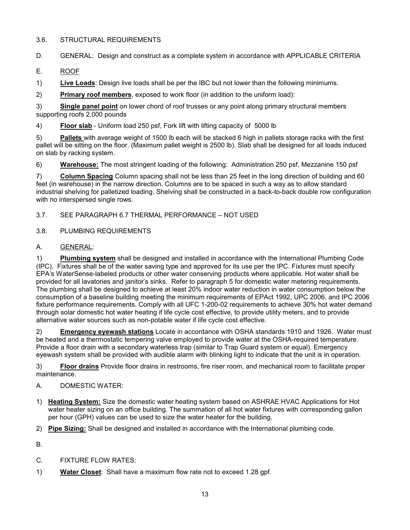### 3.6. STRUCTURAL REQUIREMENTS

D. GENERAL: Design and construct as a complete system in accordance with APPLICABLE CRITERIA

E. ROOF

1) **Live Loads**: Design live loads shall be per the IBC but not lower than the following minimums.

2) **Primary roof members**, exposed to work floor (in addition to the uniform load):

3) **Single panel point** on lower chord of roof trusses or any point along primary structural members supporting roofs 2,000 pounds

4) **Floor slab** - Uniform load 250 psf, Fork lift with lifting capacity of 5000 lb

5) **Pallets** with average weight of 1500 lb each will be stacked 6 high in pallets storage racks with the first pallet will be sitting on the floor. (Maximum pallet weight is 2500 lb). Slab shall be designed for all loads induced on slab by racking system.

6) **Warehouse:** The most stringent loading of the following: Administration 250 psf, Mezzanine 150 psf

7) **Column Spacing** Column spacing shall not be less than 25 feet in the long direction of building and 60 feet (in warehouse) in the narrow direction. Columns are to be spaced in such a way as to allow standard industrial shelving for palletized loading. Shelving shall be constructed in a back-to-back double row configuration with no interspersed single rows.

### 3.7. SEE PARAGRAPH 6.7 THERMAL PERFORMANCE – NOT USED

- 3.8. PLUMBING REQUIREMENTS
- A. GENERAL:

1) **Plumbing system** shall be designed and installed in accordance with the International Plumbing Code (IPC). Fixtures shall be of the water saving type and approved for its use per the IPC. Fixtures must specify EPA's WaterSense-labeled products or other water conserving products where applicable. Hot water shall be provided for all lavatories and janitor's sinks. Refer to paragraph 5 for domestic water metering requirements. The plumbing shall be designed to achieve at least 20% indoor water reduction in water consumption below the consumption of a baseline building meeting the minimum requirements of EPAct 1992, UPC 2006, and IPC 2006 fixture performance requirements. Comply with all UFC 1-200-02 requirements to achieve 30% hot water demand through solar domestic hot water heating if life cycle cost effective, to provide utility meters, and to provide alternative water sources such as non-potable water if life cycle cost effective.

2) **Emergency eyewash stations** Locate in accordance with OSHA standards 1910 and 1926. Water must be heated and a thermostatic tempering valve employed to provide water at the OSHA-required temperature. Provide a floor drain with a secondary waterless trap (similar to Trap Guard system or equal). Emergency eyewash system shall be provided with audible alarm with blinking light to indicate that the unit is in operation.

3) **Floor drains** Provide floor drains in restrooms, fire riser room, and mechanical room to facilitate proper maintenance.

#### A. DOMESTIC WATER:

- 1) **Heating System:** Size the domestic water heating system based on ASHRAE HVAC Applications for Hot water heater sizing on an office building. The summation of all hot water fixtures with corresponding gallon per hour (GPH) values can be used to size the water heater for the building.
- 2) **Pipe Sizing:** Shall be designed and installed in accordance with the International plumbing code.

B.

- C. FIXTURE FLOW RATES:
- 1) **Water Closet**: Shall have a maximum flow rate not to exceed 1.28 gpf.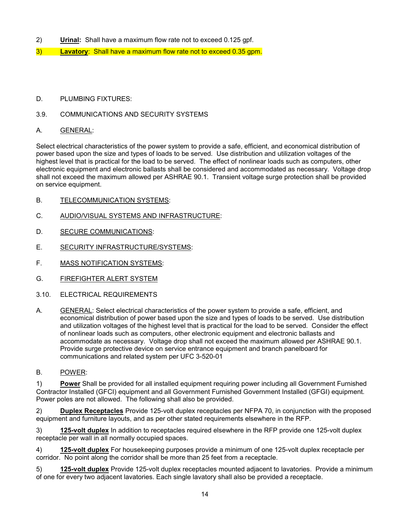- 2) **Urinal:** Shall have a maximum flow rate not to exceed 0.125 gpf.
- 3) **Lavatory**: Shall have a maximum flow rate not to exceed 0.35 gpm.
- D. PLUMBING FIXTURES:
- 3.9. COMMUNICATIONS AND SECURITY SYSTEMS
- A. GENERAL:

Select electrical characteristics of the power system to provide a safe, efficient, and economical distribution of power based upon the size and types of loads to be served. Use distribution and utilization voltages of the highest level that is practical for the load to be served. The effect of nonlinear loads such as computers, other electronic equipment and electronic ballasts shall be considered and accommodated as necessary. Voltage drop shall not exceed the maximum allowed per ASHRAE 90.1. Transient voltage surge protection shall be provided on service equipment.

- B. TELECOMMUNICATION SYSTEMS:
- C. AUDIO/VISUAL SYSTEMS AND INFRASTRUCTURE:
- D. SECURE COMMUNICATIONS:
- E. SECURITY INFRASTRUCTURE/SYSTEMS:
- F. MASS NOTIFICATION SYSTEMS:
- G. FIREFIGHTER ALERT SYSTEM
- 3.10. ELECTRICAL REQUIREMENTS
- A. GENERAL: Select electrical characteristics of the power system to provide a safe, efficient, and economical distribution of power based upon the size and types of loads to be served. Use distribution and utilization voltages of the highest level that is practical for the load to be served. Consider the effect of nonlinear loads such as computers, other electronic equipment and electronic ballasts and accommodate as necessary. Voltage drop shall not exceed the maximum allowed per ASHRAE 90.1. Provide surge protective device on service entrance equipment and branch panelboard for communications and related system per UFC 3-520-01
- B. POWER:

1) **Power** Shall be provided for all installed equipment requiring power including all Government Furnished Contractor Installed (GFCI) equipment and all Government Furnished Government Installed (GFGI) equipment. Power poles are not allowed. The following shall also be provided.

2) **Duplex Receptacles** Provide 125-volt duplex receptacles per NFPA 70, in conjunction with the proposed equipment and furniture layouts, and as per other stated requirements elsewhere in the RFP.

3) **125-volt duplex** In addition to receptacles required elsewhere in the RFP provide one 125-volt duplex receptacle per wall in all normally occupied spaces.

4) **125-volt duplex** For housekeeping purposes provide a minimum of one 125-volt duplex receptacle per corridor. No point along the corridor shall be more than 25 feet from a receptacle.

5) **125-volt duplex** Provide 125-volt duplex receptacles mounted adjacent to lavatories. Provide a minimum of one for every two adjacent lavatories. Each single lavatory shall also be provided a receptacle.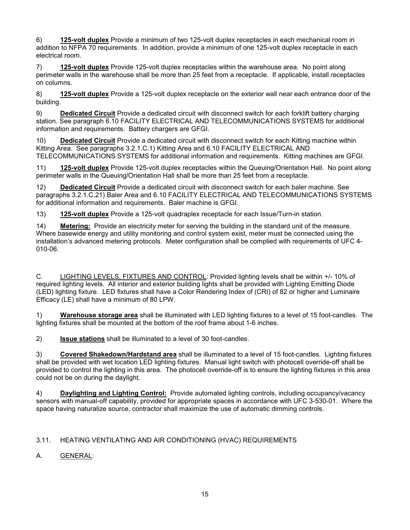6) **125-volt duplex** Provide a minimum of two 125-volt duplex receptacles in each mechanical room in addition to NFPA 70 requirements. In addition, provide a minimum of one 125-volt duplex receptacle in each electrical room.

7) **125-volt duplex** Provide 125-volt duplex receptacles within the warehouse area. No point along perimeter walls in the warehouse shall be more than 25 feet from a receptacle. If applicable, install receptacles on columns.

8) **125-volt duplex** Provide a 125-volt duplex receptacle on the exterior wall near each entrance door of the building.

9) **Dedicated Circuit** Provide a dedicated circuit with disconnect switch for each forklift battery charging station. See paragraph 6.10 FACILITY ELECTRICAL AND TELECOMMUNICATIONS SYSTEMS for additional information and requirements. Battery chargers are GFGI.

10) **Dedicated Circuit** Provide a dedicated circuit with disconnect switch for each Kitting machine within Kitting Area. See paragraphs 3.2.1.C.1) Kitting Area and 6.10 FACILITY ELECTRICAL AND TELECOMMUNICATIONS SYSTEMS for additional information and requirements. Kitting machines are GFGI.

11) **125-volt duplex** Provide 125-volt duplex receptacles within the Queuing/Orientation Hall. No point along perimeter walls in the Queuing/Orientation Hall shall be more than 25 feet from a receptacle.

12) **Dedicated Circuit** Provide a dedicated circuit with disconnect switch for each baler machine. See paragraphs 3.2.1.C.21) Baler Area and 6.10 FACILITY ELECTRICAL AND TELECOMMUNICATIONS SYSTEMS for additional information and requirements. Baler machine is GFGI.

13) **125-volt duplex** Provide a 125-volt quadraplex receptacle for each Issue/Turn-in station.

14) **Metering:** Provide an electricity meter for serving the building in the standard unit of the measure. Where basewide energy and utility monitoring and control system exist, meter must be connected using the installation's advanced metering protocols. Meter configuration shall be complied with requirements of UFC 4- 010-06.

C. LIGHTING LEVELS, FIXTURES AND CONTROL: Provided lighting levels shall be within +/- 10% of required lighting levels. All interior and exterior building lights shall be provided with Lighting Emitting Diode (LED) lighting fixture. LED fixtures shall have a Color Rendering Index of (CRI) of 82 or higher and Luminaire Efficacy (LE) shall have a minimum of 80 LPW.

1) **Warehouse storage area** shall be illuminated with LED lighting fixtures to a level of 15 foot-candles. The lighting fixtures shall be mounted at the bottom of the roof frame about 1-6 inches.

2) **Issue stations** shall be illuminated to a level of 30 foot-candles.

3) **Covered Shakedown/Hardstand area** shall be illuminated to a level of 15 foot-candles. Lighting fixtures shall be provided with wet location LED lighting fixtures. Manual light switch with photocell override-off shall be provided to control the lighting in this area. The photocell override-off is to ensure the lighting fixtures in this area could not be on during the daylight.

4) **Daylighting and Lighting Control:** Provide automated lighting controls, including occupancy/vacancy sensors with manual-off capability, provided for appropriate spaces in accordance with UFC 3-530-01. Where the space having naturalize source, contractor shall maximize the use of automatic dimming controls.

### 3.11. HEATING VENTILATING AND AIR CONDITIONING (HVAC) REQUIREMENTS

### A. GENERAL: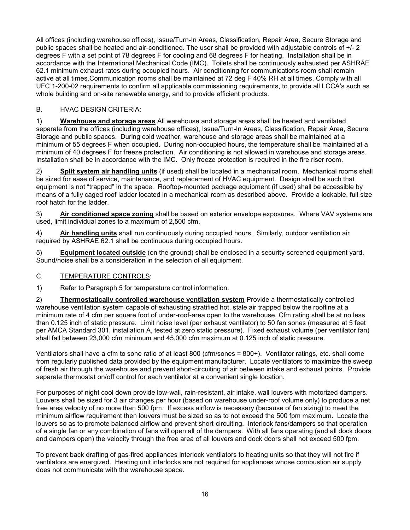All offices (including warehouse offices), Issue/Turn-In Areas, Classification, Repair Area, Secure Storage and public spaces shall be heated and air-conditioned. The user shall be provided with adjustable controls of +/- 2 degrees F with a set point of 78 degrees F for cooling and 68 degrees F for heating. Installation shall be in accordance with the International Mechanical Code (IMC). Toilets shall be continuously exhausted per ASHRAE 62.1 minimum exhaust rates during occupied hours. Air conditioning for communications room shall remain active at all times.Communication rooms shall be maintained at 72 deg F 40% RH at all times. Comply with all UFC 1-200-02 requirements to confirm all applicable commissioning requirements, to provide all LCCA's such as whole building and on-site renewable energy, and to provide efficient products.

## B. HVAC DESIGN CRITERIA:

1) **Warehouse and storage areas** All warehouse and storage areas shall be heated and ventilated separate from the offices (including warehouse offices), Issue/Turn-In Areas, Classification, Repair Area, Secure Storage and public spaces. During cold weather, warehouse and storage areas shall be maintained at a minimum of 55 degrees F when occupied. During non-occupied hours, the temperature shall be maintained at a minimum of 40 degrees F for freeze protection. Air conditioning is not allowed in warehouse and storage areas. Installation shall be in accordance with the IMC. Only freeze protection is required in the fire riser room.

2) **Split system air handling units** (if used) shall be located in a mechanical room. Mechanical rooms shall be sized for ease of service, maintenance, and replacement of HVAC equipment. Design shall be such that equipment is not "trapped" in the space. Rooftop-mounted package equipment (if used) shall be accessible by means of a fully caged roof ladder located in a mechanical room as described above. Provide a lockable, full size roof hatch for the ladder.

3) **Air conditioned space zoning** shall be based on exterior envelope exposures. Where VAV systems are used, limit individual zones to a maximum of 2,500 cfm.

4) **Air handling units** shall run continuously during occupied hours. Similarly, outdoor ventilation air required by ASHRAE 62.1 shall be continuous during occupied hours.

5) **Equipment located outside** (on the ground) shall be enclosed in a security-screened equipment yard. Sound/noise shall be a consideration in the selection of all equipment.

#### C. TEMPERATURE CONTROLS:

1) Refer to Paragraph 5 for temperature control information.

2) **Thermostatically controlled warehouse ventilation system** Provide a thermostatically controlled warehouse ventilation system capable of exhausting stratified hot, stale air trapped below the roofline at a minimum rate of 4 cfm per square foot of under-roof-area open to the warehouse. Cfm rating shall be at no less than 0.125 inch of static pressure. Limit noise level (per exhaust ventilator) to 50 fan sones (measured at 5 feet per AMCA Standard 301, installation A, tested at zero static pressure). Fixed exhaust volume (per ventilator fan) shall fall between 23,000 cfm minimum and 45,000 cfm maximum at 0.125 inch of static pressure.

Ventilators shall have a cfm to sone ratio of at least 800 (cfm/sones = 800+). Ventilator ratings, etc. shall come from regularly published data provided by the equipment manufacturer. Locate ventilators to maximize the sweep of fresh air through the warehouse and prevent short-circuiting of air between intake and exhaust points. Provide separate thermostat on/off control for each ventilator at a convenient single location.

For purposes of night cool down provide low-wall, rain-resistant, air intake, wall louvers with motorized dampers. Louvers shall be sized for 3 air changes per hour (based on warehouse under-roof volume only) to produce a net free area velocity of no more than 500 fpm. If excess airflow is necessary (because of fan sizing) to meet the minimum airflow requirement then louvers must be sized so as to not exceed the 500 fpm maximum. Locate the louvers so as to promote balanced airflow and prevent short-circuiting. Interlock fans/dampers so that operation of a single fan or any combination of fans will open all of the dampers. With all fans operating (and all dock doors and dampers open) the velocity through the free area of all louvers and dock doors shall not exceed 500 fpm.

To prevent back drafting of gas-fired appliances interlock ventilators to heating units so that they will not fire if ventilators are energized. Heating unit interlocks are not required for appliances whose combustion air supply does not communicate with the warehouse space.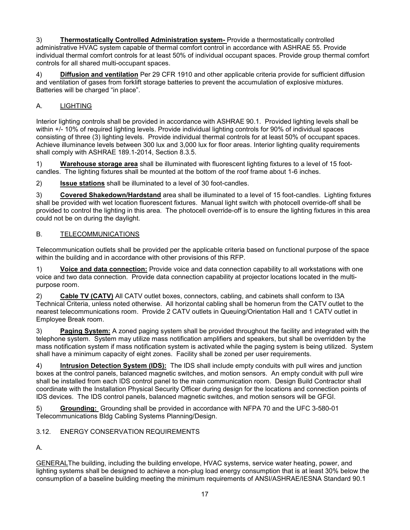3) **Thermostatically Controlled Administration system-** Provide a thermostatically controlled administrative HVAC system capable of thermal comfort control in accordance with ASHRAE 55. Provide individual thermal comfort controls for at least 50% of individual occupant spaces. Provide group thermal comfort controls for all shared multi-occupant spaces.

4) **Diffusion and ventilation** Per 29 CFR 1910 and other applicable criteria provide for sufficient diffusion and ventilation of gases from forklift storage batteries to prevent the accumulation of explosive mixtures. Batteries will be charged "in place".

# A. LIGHTING

Interior lighting controls shall be provided in accordance with ASHRAE 90.1. Provided lighting levels shall be within +/- 10% of required lighting levels. Provide individual lighting controls for 90% of individual spaces consisting of three (3) lighting levels. Provide individual thermal controls for at least 50% of occupant spaces. Achieve illuminance levels between 300 lux and 3,000 lux for floor areas. Interior lighting quality requirements shall comply with ASHRAE 189.1-2014, Section 8.3.5.

1) **Warehouse storage area** shall be illuminated with fluorescent lighting fixtures to a level of 15 footcandles. The lighting fixtures shall be mounted at the bottom of the roof frame about 1-6 inches.

2) **Issue stations** shall be illuminated to a level of 30 foot-candles.

3) **Covered Shakedown/Hardstand** area shall be illuminated to a level of 15 foot-candles. Lighting fixtures shall be provided with wet location fluorescent fixtures. Manual light switch with photocell override-off shall be provided to control the lighting in this area. The photocell override-off is to ensure the lighting fixtures in this area could not be on during the daylight.

### B. TELECOMMUNICATIONS

Telecommunication outlets shall be provided per the applicable criteria based on functional purpose of the space within the building and in accordance with other provisions of this RFP.

1) **Voice and data connection:** Provide voice and data connection capability to all workstations with one voice and two data connection. Provide data connection capability at projector locations located in the multipurpose room.

2) **Cable TV (CATV)** All CATV outlet boxes, connectors, cabling, and cabinets shall conform to I3A Technical Criteria, unless noted otherwise. All horizontal cabling shall be homerun from the CATV outlet to the nearest telecommunications room. Provide 2 CATV outlets in Queuing/Orientation Hall and 1 CATV outlet in Employee Break room.

3) **Paging System:** A zoned paging system shall be provided throughout the facility and integrated with the telephone system. System may utilize mass notification amplifiers and speakers, but shall be overridden by the mass notification system if mass notification system is activated while the paging system is being utilized. System shall have a minimum capacity of eight zones. Facility shall be zoned per user requirements.

4) **Intrusion Detection System (IDS):** The IDS shall include empty conduits with pull wires and junction boxes at the control panels, balanced magnetic switches, and motion sensors. An empty conduit with pull wire shall be installed from each IDS control panel to the main communication room. Design Build Contractor shall coordinate with the Installation Physical Security Officer during design for the locations and connection points of IDS devices. The IDS control panels, balanced magnetic switches, and motion sensors will be GFGI.

5) **Grounding:** Grounding shall be provided in accordance with NFPA 70 and the UFC 3-580-01 Telecommunications Bldg Cabling Systems Planning/Design.

### 3.12. ENERGY CONSERVATION REQUIREMENTS

A.

GENERALThe building, including the building envelope, HVAC systems, service water heating, power, and lighting systems shall be designed to achieve a non-plug load energy consumption that is at least 30% below the consumption of a baseline building meeting the minimum requirements of ANSI/ASHRAE/IESNA Standard 90.1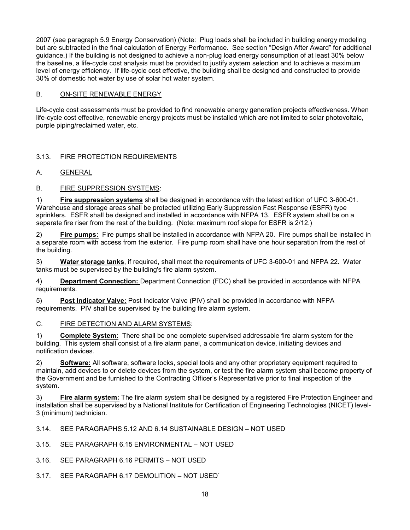2007 (see paragraph 5.9 Energy Conservation) (Note: Plug loads shall be included in building energy modeling but are subtracted in the final calculation of Energy Performance. See section "Design After Award" for additional guidance.) If the building is not designed to achieve a non-plug load energy consumption of at least 30% below the baseline, a life-cycle cost analysis must be provided to justify system selection and to achieve a maximum level of energy efficiency. If life-cycle cost effective, the building shall be designed and constructed to provide 30% of domestic hot water by use of solar hot water system.

### B. ON-SITE RENEWABLE ENERGY

Life-cycle cost assessments must be provided to find renewable energy generation projects effectiveness. When life-cycle cost effective, renewable energy projects must be installed which are not limited to solar photovoltaic, purple piping/reclaimed water, etc.

### 3.13. FIRE PROTECTION REQUIREMENTS

### A. GENERAL

### B. FIRE SUPPRESSION SYSTEMS:

1) **Fire suppression systems** shall be designed in accordance with the latest edition of UFC 3-600-01. Warehouse and storage areas shall be protected utilizing Early Suppression Fast Response (ESFR) type sprinklers. ESFR shall be designed and installed in accordance with NFPA 13. ESFR system shall be on a separate fire riser from the rest of the building. (Note: maximum roof slope for ESFR is 2/12.)

2) **Fire pumps:** Fire pumps shall be installed in accordance with NFPA 20. Fire pumps shall be installed in a separate room with access from the exterior. Fire pump room shall have one hour separation from the rest of the building.

3) **Water storage tanks**, if required, shall meet the requirements of UFC 3-600-01 and NFPA 22. Water tanks must be supervised by the building's fire alarm system.

4) **Department Connection:** Department Connection (FDC) shall be provided in accordance with NFPA requirements.

5) **Post Indicator Valve:** Post Indicator Valve (PIV) shall be provided in accordance with NFPA requirements. PIV shall be supervised by the building fire alarm system.

#### C. FIRE DETECTION AND ALARM SYSTEMS:

1) **Complete System:** There shall be one complete supervised addressable fire alarm system for the building. This system shall consist of a fire alarm panel, a communication device, initiating devices and notification devices.

2) **Software:** All software, software locks, special tools and any other proprietary equipment required to maintain, add devices to or delete devices from the system, or test the fire alarm system shall become property of the Government and be furnished to the Contracting Officer's Representative prior to final inspection of the system.

3) **Fire alarm system:** The fire alarm system shall be designed by a registered Fire Protection Engineer and installation shall be supervised by a National Institute for Certification of Engineering Technologies (NICET) level-3 (minimum) technician.

3.14. SEE PARAGRAPHS 5.12 AND 6.14 SUSTAINABLE DESIGN – NOT USED

- 3.15. SEE PARAGRAPH 6.15 ENVIRONMENTAL NOT USED
- 3.16. SEE PARAGRAPH 6.16 PERMITS NOT USED
- 3.17. SEE PARAGRAPH 6.17 DEMOLITION NOT USED`